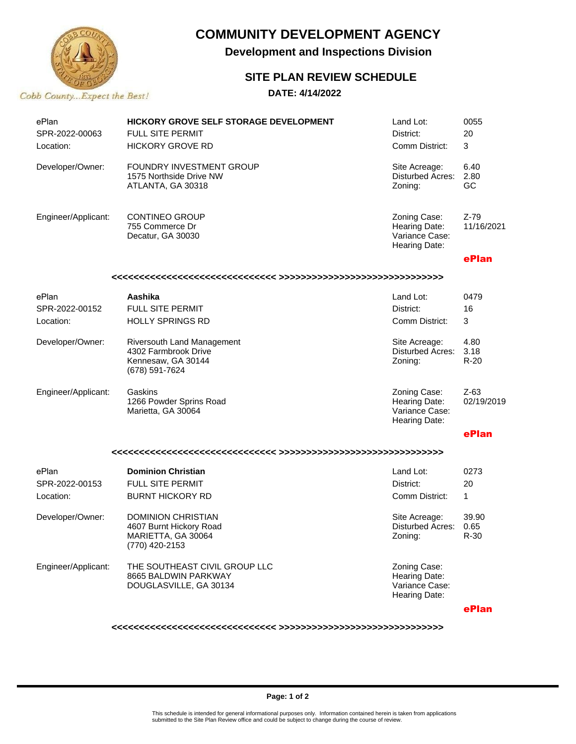

# **COMMUNITY DEVELOPMENT AGENCY**

**Development and Inspections Division**

## **SITE PLAN REVIEW SCHEDULE**

### **DATE: 4/14/2022**

| ePlan<br>SPR-2022-00063<br>Location: | <b>HICKORY GROVE SELF STORAGE DEVELOPMENT</b><br>FULL SITE PERMIT<br><b>HICKORY GROVE RD</b> | Land Lot:<br>District:<br>Comm District:                         | 0055<br>20<br>3        |  |  |
|--------------------------------------|----------------------------------------------------------------------------------------------|------------------------------------------------------------------|------------------------|--|--|
| Developer/Owner:                     | FOUNDRY INVESTMENT GROUP<br>1575 Northside Drive NW<br>ATLANTA, GA 30318                     | Site Acreage:<br><b>Disturbed Acres:</b><br>Zoning:              | 6.40<br>2.80<br>GC     |  |  |
| Engineer/Applicant:                  | <b>CONTINEO GROUP</b><br>755 Commerce Dr<br>Decatur, GA 30030                                | Zoning Case:<br>Hearing Date:<br>Variance Case:<br>Hearing Date: | $Z-79$<br>11/16/2021   |  |  |
|                                      |                                                                                              |                                                                  | ePlan                  |  |  |
|                                      |                                                                                              |                                                                  |                        |  |  |
| ePlan<br>SPR-2022-00152<br>Location: | Aashika<br>FULL SITE PERMIT<br><b>HOLLY SPRINGS RD</b>                                       | Land Lot:<br>District:<br>Comm District:                         | 0479<br>16<br>3        |  |  |
| Developer/Owner:                     | Riversouth Land Management<br>4302 Farmbrook Drive<br>Kennesaw, GA 30144<br>(678) 591-7624   | Site Acreage:<br><b>Disturbed Acres:</b><br>Zoning:              | 4.80<br>3.18<br>$R-20$ |  |  |
| Engineer/Applicant:                  | Gaskins<br>1266 Powder Sprins Road<br>Marietta, GA 30064                                     | Zoning Case:<br>Hearing Date:<br>Variance Case:<br>Hearing Date: | $Z-63$<br>02/19/2019   |  |  |
|                                      |                                                                                              |                                                                  | ePlan                  |  |  |
|                                      |                                                                                              |                                                                  |                        |  |  |
| ePlan<br>SPR-2022-00153<br>Location: | <b>Dominion Christian</b><br><b>FULL SITE PERMIT</b><br><b>BURNT HICKORY RD</b>              | Land Lot:<br>District:<br>Comm District:                         | 0273<br>20<br>1        |  |  |
| Developer/Owner:                     | <b>DOMINION CHRISTIAN</b><br>4607 Burnt Hickory Road<br>MARIETTA, GA 30064<br>(770) 420-2153 | Site Acreage:<br>Disturbed Acres:<br>Zoning:                     | 39.90<br>0.65<br>R-30  |  |  |
| Engineer/Applicant:                  | THE SOUTHEAST CIVIL GROUP LLC<br>8665 BALDWIN PARKWAY<br>DOUGLASVILLE, GA 30134              | Zoning Case:<br>Hearing Date:<br>Variance Case:<br>Hearing Date: |                        |  |  |

**ePlan**

**<<<<<<<<<<<<<<<<<<<<<<<<<<<<<< >>>>>>>>>>>>>>>>>>>>>>>>>>>>>>**